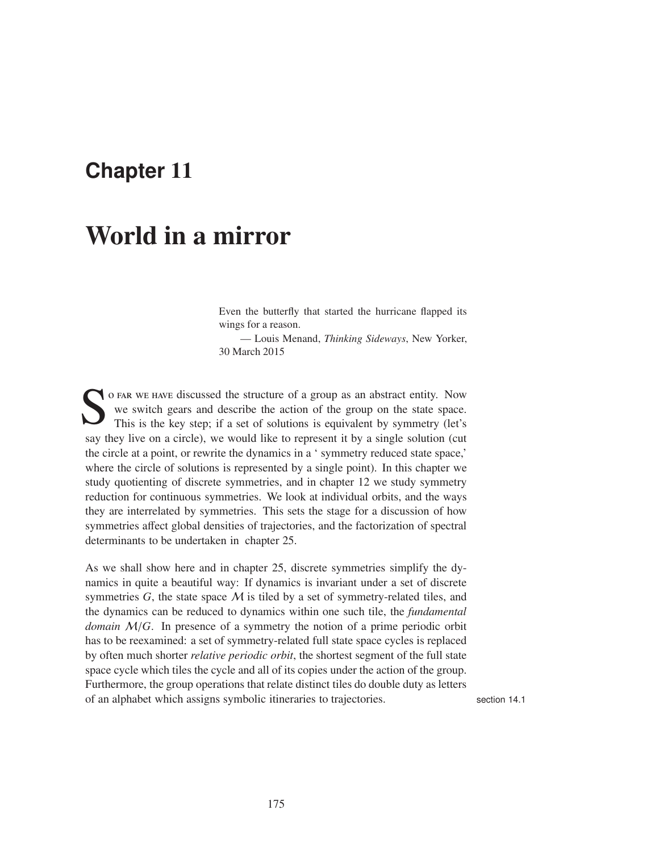## **Chapter** 11

# World in a mirror

Even the butterfly that started the hurricane flapped its wings for a reason.

— Louis Menand, *Thinking Sideways*, New Yorker, 30 March 2015

O FAR WE HAVE discussed the structure of a group as an abstract entity. Now we switch gears and describe the action of the group on the state space.<br>This is the key step; if a set of solutions is equivalent by symmetry (le we switch gears and describe the action of the group on the state space. This is the key step; if a set of solutions is equivalent by symmetry (let's say they live on a circle), we would like to represent it by a single solution (cut the circle at a point, or rewrite the dynamics in a ' symmetry reduced state space,' where the circle of solutions is represented by a single point). In this chapter we study quotienting of discrete symmetries, and in chapter 12 we study symmetry reduction for continuous symmetries. We look at individual orbits, and the ways they are interrelated by symmetries. This sets the stage for a discussion of how symmetries affect global densities of trajectories, and the factorization of spectral determinants to be undertaken in chapter 25.

As we shall show here and in chapter 25, discrete symmetries simplify the dynamics in quite a beautiful way: If dynamics is invariant under a set of discrete symmetries  $G$ , the state space  $M$  is tiled by a set of symmetry-related tiles, and the dynamics can be reduced to dynamics within one such tile, the *fundamental domain* M/*G*. In presence of a symmetry the notion of a prime periodic orbit has to be reexamined: a set of symmetry-related full state space cycles is replaced by often much shorter *relative periodic orbit*, the shortest segment of the full state space cycle which tiles the cycle and all of its copies under the action of the group. Furthermore, the group operations that relate distinct tiles do double duty as letters of an alphabet which assigns symbolic itineraries to trajectories. section 14.1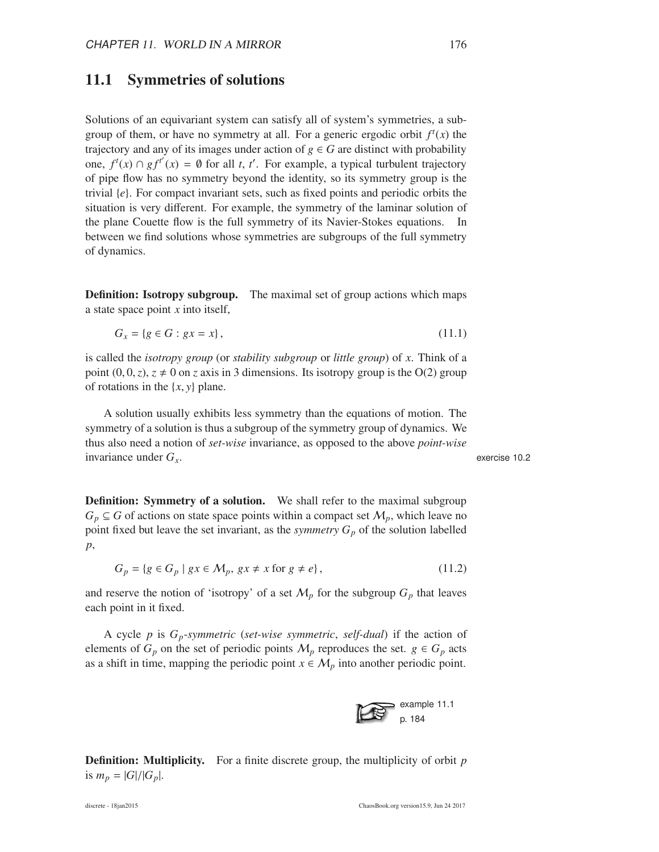#### 11.1 Symmetries of solutions

Solutions of an equivariant system can satisfy all of system's symmetries, a subgroup of them, or have no symmetry at all. For a generic ergodic orbit  $f^t(x)$  the trajectory and any of its images under action of  $g \in G$  are distinct with probability one,  $f^t(x) \cap gf^{t'}(x) = \emptyset$  for all *t*, *t'*. For example, a typical turbulent trajectory of pipe flow has no symmetry beyond the identity, so its symmetry group is the trivial {*e*}. For compact invariant sets, such as fixed points and periodic orbits the situation is very different. For example, the symmetry of the laminar solution of the plane Couette flow is the full symmetry of its Navier-Stokes equations. In between we find solutions whose symmetries are subgroups of the full symmetry of dynamics.

Definition: Isotropy subgroup. The maximal set of group actions which maps a state space point *x* into itself,

$$
G_x = \{ g \in G : gx = x \},\tag{11.1}
$$

is called the *isotropy group* (or *stability subgroup* or *little group*) of *x*. Think of a point  $(0, 0, z)$ ,  $z \neq 0$  on *z* axis in 3 dimensions. Its isotropy group is the O(2) group of rotations in the {*x*, *y*} plane.

A solution usually exhibits less symmetry than the equations of motion. The symmetry of a solution is thus a subgroup of the symmetry group of dynamics. We thus also need a notion of *set-wise* invariance, as opposed to the above *point-wise* invariance under *Gx*. exercise 10.2

**Definition: Symmetry of a solution.** We shall refer to the maximal subgroup  $G_p \subseteq G$  of actions on state space points within a compact set  $M_p$ , which leave no point fixed but leave the set invariant, as the *symmetry*  $G_p$  of the solution labelled *p*,

$$
G_p = \{ g \in G_p \mid gx \in \mathcal{M}_p, gx \neq x \text{ for } g \neq e \},\tag{11.2}
$$

and reserve the notion of 'isotropy' of a set  $M_p$  for the subgroup  $G_p$  that leaves each point in it fixed.

A cycle *p* is *Gp*-*symmetric* (*set-wise symmetric*, *self-dual*) if the action of elements of  $G_p$  on the set of periodic points  $M_p$  reproduces the set.  $g \in G_p$  acts as a shift in time, mapping the periodic point  $x \in M_p$  into another periodic point.

> example 11.1 p. 184

Definition: Multiplicity. For a finite discrete group, the multiplicity of orbit *p* is  $m_p = |G|/|G_p|$ .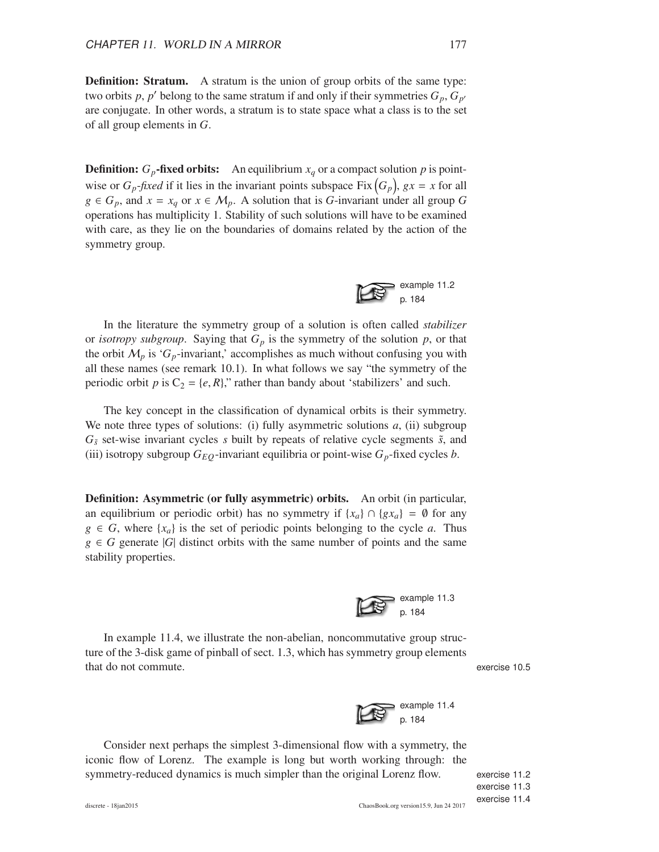**Definition: Stratum.** A stratum is the union of group orbits of the same type: two orbits p, p' belong to the same stratum if and only if their symmetries  $G_p$ ,  $G_{p'}$ are conjugate. In other words, a stratum is to state space what a class is to the set of all group elements in *G*.

**Definition:**  $G_p$ -fixed orbits: An equilibrium  $x_q$  or a compact solution p is pointwise or  $G_p$ -*fixed* if it lies in the invariant points subspace Fix  $(G_p)$ ,  $gx = x$  for all  $g \in G_p$ , and  $x = x_q$  or  $x \in M_p$ . A solution that is *G*-invariant under all group *G* operations has multiplicity 1. Stability of such solutions will have to be examined with care, as they lie on the boundaries of domains related by the action of the symmetry group.



In the literature the symmetry group of a solution is often called *stabilizer* or *isotropy subgroup*. Saying that  $G_p$  is the symmetry of the solution  $p$ , or that the orbit  $M_p$  is ' $G_p$ -invariant,' accomplishes as much without confusing you with all these names (see remark 10.1). In what follows we say "the symmetry of the periodic orbit *p* is  $C_2 = \{e, R\}$ ," rather than bandy about 'stabilizers' and such.

The key concept in the classification of dynamical orbits is their symmetry. We note three types of solutions: (i) fully asymmetric solutions *a*, (ii) subgroup  $G_{\tilde{s}}$  set-wise invariant cycles *s* built by repeats of relative cycle segments  $\tilde{s}$ , and (iii) isotropy subgroup  $G_{EQ}$ -invariant equilibria or point-wise  $G_p$ -fixed cycles *b*.

Definition: Asymmetric (or fully asymmetric) orbits. An orbit (in particular, an equilibrium or periodic orbit) has no symmetry if  $\{x_a\} \cap \{gx_a\} = \emptyset$  for any  $g \in G$ , where  $\{x_a\}$  is the set of periodic points belonging to the cycle *a*. Thus  $g \in G$  generate |*G*| distinct orbits with the same number of points and the same stability properties.



In example 11.4, we illustrate the non-abelian, noncommutative group structure of the 3-disk game of pinball of sect. 1.3, which has symmetry group elements that do not commute. exercise 10.5



Consider next perhaps the simplest 3-dimensional flow with a symmetry, the iconic flow of Lorenz. The example is long but worth working through: the symmetry-reduced dynamics is much simpler than the original Lorenz flow. exercise 11.2

exercise 11.3 exercise 11.4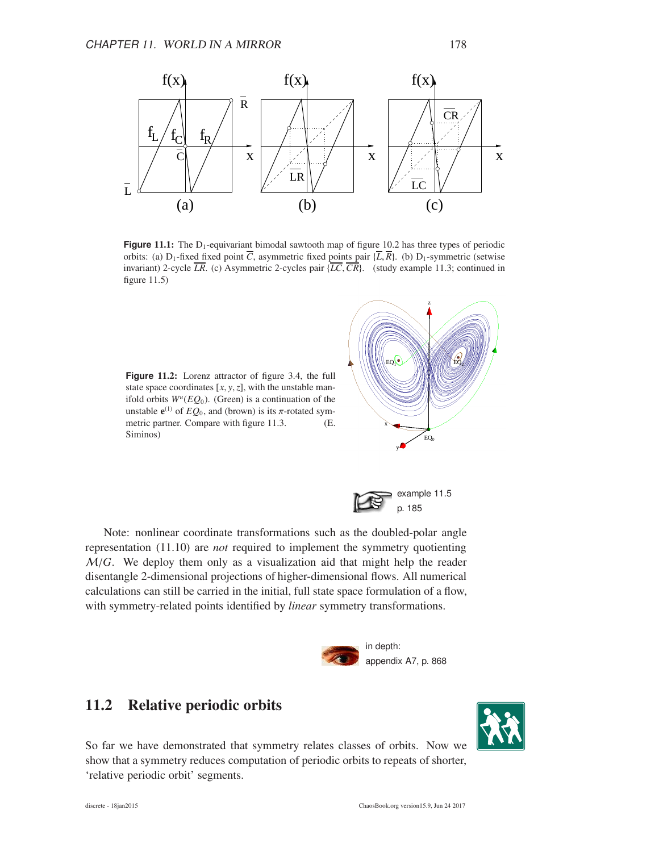

**Figure 11.1:** The D<sub>1</sub>-equivariant bimodal sawtooth map of figure 10.2 has three types of periodic orbits: (a) D<sub>1</sub>-fixed fixed point  $\overline{C}$ , asymmetric fixed points pair { $\overline{L}$ ,  $\overline{R}$ }. (b) D<sub>1</sub>-symmetric (setwise invariant) 2-cycle  $\overline{LR}$ . (c) Asymmetric 2-cycles pair  $\{\overline{LC}, \overline{CR}\}$ . (study example 11.3; continued in figure  $11.5$ )

**Figure** 11.2: Lorenz attractor of figure 3.4, the full state space coordinates  $[x, y, z]$ , with the unstable manifold orbits  $W^u(EQ_0)$ . (Green) is a continuation of the unstable  $e^{(1)}$  of  $EQ_0$ , and (brown) is its  $\pi$ -rotated symmetric partner. Compare with figure 11.3. (E. Siminos)



example 11.5 p. 185

Note: nonlinear coordinate transformations such as the doubled-polar angle representation (11.10) are *not* required to implement the symmetry quotienting M/*G*. We deploy them only as a visualization aid that might help the reader disentangle 2-dimensional projections of higher-dimensional flows. All numerical calculations can still be carried in the initial, full state space formulation of a flow, with symmetry-related points identified by *linear* symmetry transformations.



## 11.2 Relative periodic orbits

So far we have demonstrated that symmetry relates classes of orbits. Now we show that a symmetry reduces computation of periodic orbits to repeats of shorter, 'relative periodic orbit' segments.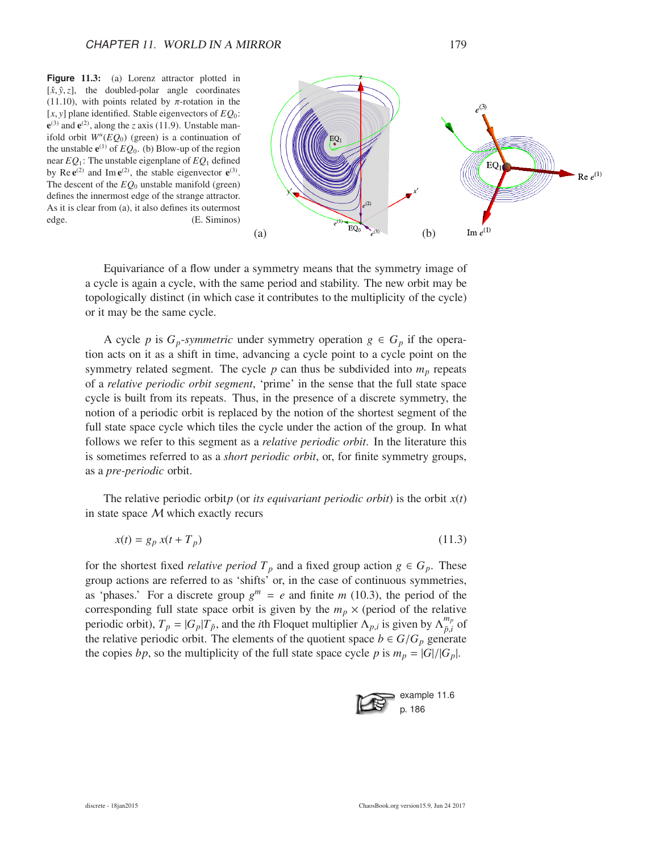**Figure** 11.3: (a) Lorenz attractor plotted in  $[\hat{x}, \hat{y}, z]$ , the doubled-polar angle coordinates (11.10), with points related by  $\pi$ -rotation in the  $[x, y]$  plane identified. Stable eigenvectors of  $EO_0$ :  $e^{(3)}$  and  $e^{(2)}$ , along the *z* axis (11.9). Unstable manifold orbit  $W^u(EQ_0)$  (green) is a continuation of the unstable  $e^{(1)}$  of  $EQ_0$ . (b) Blow-up of the region near *EQ*1: The unstable eigenplane of *EQ*<sup>1</sup> defined by Re  $e^{(2)}$  and Im  $e^{(2)}$ , the stable eigenvector  $e^{(3)}$ . The descent of the *EQ*<sup>0</sup> unstable manifold (green) defines the innermost edge of the strange attractor. As it is clear from (a), it also defines its outermost edge. (E. Siminos)



Equivariance of a flow under a symmetry means that the symmetry image of a cycle is again a cycle, with the same period and stability. The new orbit may be topologically distinct (in which case it contributes to the multiplicity of the cycle) or it may be the same cycle.

A cycle *p* is  $G_p$ -*symmetric* under symmetry operation  $g \in G_p$  if the operation acts on it as a shift in time, advancing a cycle point to a cycle point on the symmetry related segment. The cycle  $p$  can thus be subdivided into  $m_p$  repeats of a *relative periodic orbit segment*, 'prime' in the sense that the full state space cycle is built from its repeats. Thus, in the presence of a discrete symmetry, the notion of a periodic orbit is replaced by the notion of the shortest segment of the full state space cycle which tiles the cycle under the action of the group. In what follows we refer to this segment as a *relative periodic orbit*. In the literature this is sometimes referred to as a *short periodic orbit*, or, for finite symmetry groups, as a *pre-periodic* orbit.

The relative periodic orbit*p* (or *its equivariant periodic orbit*) is the orbit *x*(*t*) in state space M which exactly recurs

$$
x(t) = g_p x(t + T_p) \tag{11.3}
$$

for the shortest fixed *relative period*  $T_p$  and a fixed group action  $g \in G_p$ . These group actions are referred to as 'shifts' or, in the case of continuous symmetries, as 'phases.' For a discrete group  $g^m = e$  and finite *m* (10.3), the period of the corresponding full state space orbit is given by the  $m_p \times$  (period of the relative periodic orbit),  $T_p = |G_p| \hat{T}_{\tilde{p}}$ , and the *i*th Floquet multiplier  $\hat{\Lambda}_{p,i}$  is given by  $\hat{\Lambda}_{\tilde{p},i}^{m_p}$  $_{\tilde{p},i}^{m_p}$  of the relative periodic orbit. The elements of the quotient space  $b \in G/G_p$  generate the copies *bp*, so the multiplicity of the full state space cycle *p* is  $m_p = |G|/|G_p|$ .

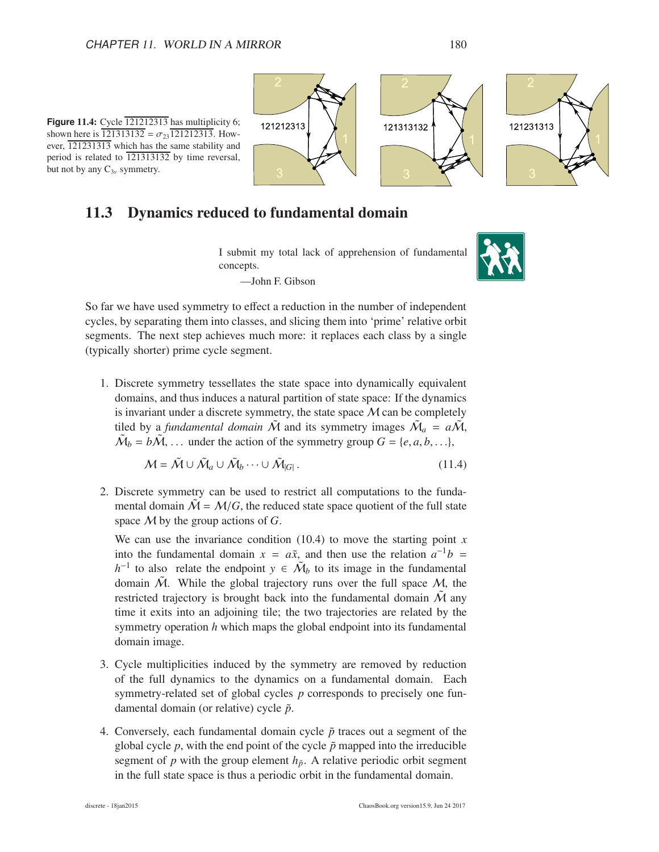**Figure 11.4:** Cycle  $\overline{121212313}$  has multiplicity 6; shown here is  $\overline{121313132} = \sigma_{23} \overline{121212313}$ . However, 121231313 which has the same stability and period is related to 121313132 by time reversal,

but not by any  $C_{3v}$  symmetry.

121212313 121231313 121313132

11.3 Dynamics reduced to fundamental domain

I submit my total lack of apprehension of fundamental concepts.

—John F. Gibson



So far we have used symmetry to effect a reduction in the number of independent cycles, by separating them into classes, and slicing them into 'prime' relative orbit segments. The next step achieves much more: it replaces each class by a single (typically shorter) prime cycle segment.

1. Discrete symmetry tessellates the state space into dynamically equivalent domains, and thus induces a natural partition of state space: If the dynamics is invariant under a discrete symmetry, the state space  $M$  can be completely tiled by a *fundamental domain*  $\tilde{M}$  and its symmetry images  $\tilde{M}_a = a\tilde{M}$ ,  $\tilde{M}_b = b\tilde{M}$ , ... under the action of the symmetry group  $G = \{e, a, b, ...\}$ ,

$$
\mathcal{M} = \tilde{\mathcal{M}} \cup \tilde{\mathcal{M}}_a \cup \tilde{\mathcal{M}}_b \cdots \cup \tilde{\mathcal{M}}_{|G|}.
$$
\n(11.4)

2. Discrete symmetry can be used to restrict all computations to the fundamental domain  $\mathcal{M} = \mathcal{M}/G$ , the reduced state space quotient of the full state space M by the group actions of *G*.

We can use the invariance condition  $(10.4)$  to move the starting point *x* into the fundamental domain  $x = a\tilde{x}$ , and then use the relation  $a^{-1}b =$  $h^{-1}$  to also relate the endpoint  $y \in \tilde{\mathcal{M}}_b$  to its image in the fundamental domain  $\tilde{M}$ . While the global trajectory runs over the full space  $M$ , the restricted trajectory is brought back into the fundamental domain  $\tilde{M}$  any time it exits into an adjoining tile; the two trajectories are related by the symmetry operation *h* which maps the global endpoint into its fundamental domain image.

- 3. Cycle multiplicities induced by the symmetry are removed by reduction of the full dynamics to the dynamics on a fundamental domain. Each symmetry-related set of global cycles *p* corresponds to precisely one fundamental domain (or relative) cycle  $\tilde{p}$ .
- 4. Conversely, each fundamental domain cycle  $\tilde{p}$  traces out a segment of the global cycle  $p$ , with the end point of the cycle  $\tilde{p}$  mapped into the irreducible segment of  $p$  with the group element  $h_{\tilde{p}}$ . A relative periodic orbit segment in the full state space is thus a periodic orbit in the fundamental domain.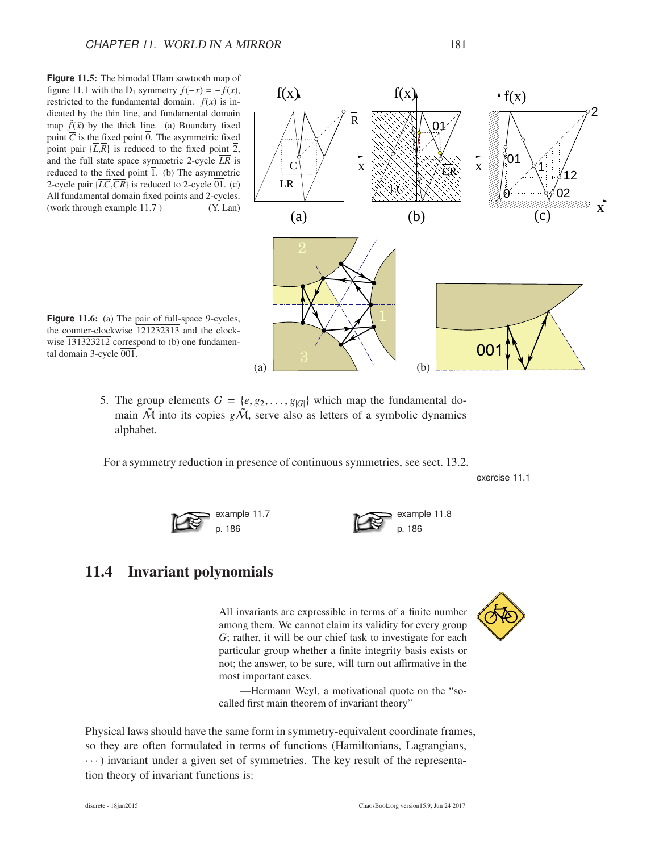**Figure** 11.5: The bimodal Ulam sawtooth map of figure 11.1 with the D<sub>1</sub> symmetry  $f(-x) = -f(x)$ , restricted to the fundamental domain.  $f(x)$  is indicated by the thin line, and fundamental domain map  $\tilde{f}(\tilde{x})$  by the thick line. (a) Boundary fixed point  $\overline{C}$  is the fixed point  $\overline{0}$ . The asymmetric fixed point pair  $\{\overline{L},\overline{R}\}$  is reduced to the fixed point  $\overline{2}$ , and the full state space symmetric 2-cycle  $\overline{LR}$  is reduced to the fixed point  $\overline{1}$ . (b) The asymmetric 2-cycle pair  $\{ \overline{LC}, \overline{CR} \}$  is reduced to 2-cycle  $\overline{01}$ . (c) All fundamental domain fixed points and 2-cycles. (work through example 11.7)  $(Y. Lan)$  (2)



example 11.8 p. 186

Figure 11.6: (a) The pair of full-space 9-cycles, the counter-clockwise 121232313 and the clockwise  $\overline{131323212}$  correspond to (b) one fundamental domain 3-cycle 001.

5. The group elements  $G = \{e, g_2, \ldots, g_{|G|}\}\$  which map the fundamental domain  $\tilde{M}$  into its copies  $g\tilde{M}$ , serve also as letters of a symbolic dynamics alphabet.

For a symmetry reduction in presence of continuous symmetries, see sect. 13.2.

exercise 11.1



## 11.4 Invariant polynomials

All invariants are expressible in terms of a finite number among them. We cannot claim its validity for every group *G*; rather, it will be our chief task to investigate for each particular group whether a finite integrity basis exists or not; the answer, to be sure, will turn out affirmative in the most important cases.

—Hermann Weyl, a motivational quote on the "socalled first main theorem of invariant theory"

Physical laws should have the same form in symmetry-equivalent coordinate frames, so they are often formulated in terms of functions (Hamiltonians, Lagrangians,  $\cdots$ ) invariant under a given set of symmetries. The key result of the representation theory of invariant functions is:

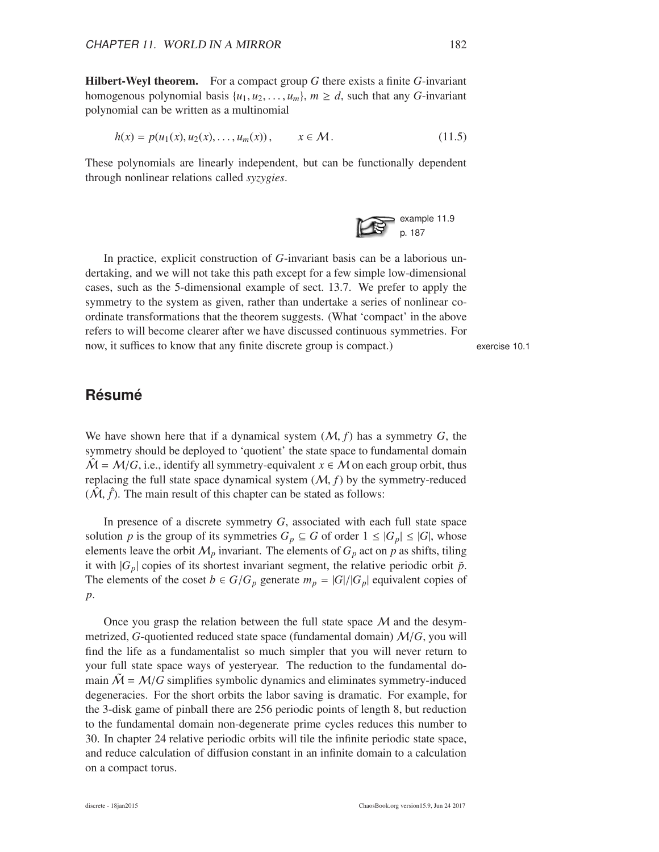Hilbert-Weyl theorem. For a compact group *G* there exists a finite *G*-invariant homogenous polynomial basis  $\{u_1, u_2, \ldots, u_m\}$ ,  $m \ge d$ , such that any *G*-invariant polynomial can be written as a multinomial

$$
h(x) = p(u_1(x), u_2(x), \dots, u_m(x)), \qquad x \in \mathcal{M}.
$$
 (11.5)

These polynomials are linearly independent, but can be functionally dependent through nonlinear relations called *syzygies*.



In practice, explicit construction of *G*-invariant basis can be a laborious undertaking, and we will not take this path except for a few simple low-dimensional cases, such as the 5-dimensional example of sect. 13.7. We prefer to apply the symmetry to the system as given, rather than undertake a series of nonlinear coordinate transformations that the theorem suggests. (What 'compact' in the above refers to will become clearer after we have discussed continuous symmetries. For now, it suffices to know that any finite discrete group is compact.) exercise 10.1

#### **Résumé**

We have shown here that if a dynamical system (M, *f*) has a symmetry *G*, the symmetry should be deployed to 'quotient' the state space to fundamental domain  $\mathcal{\hat{M}} = \mathcal{M}/G$ , i.e., identify all symmetry-equivalent  $x \in \mathcal{M}$  on each group orbit, thus replacing the full state space dynamical system  $(M, f)$  by the symmetry-reduced  $(\hat{\mathcal{M}}, \hat{f})$ . The main result of this chapter can be stated as follows:

In presence of a discrete symmetry *G*, associated with each full state space solution *p* is the group of its symmetries  $G_p \subseteq G$  of order  $1 \leq |G_p| \leq |G|$ , whose elements leave the orbit  $M_p$  invariant. The elements of  $G_p$  act on  $p$  as shifts, tiling it with  $|G_p|$  copies of its shortest invariant segment, the relative periodic orbit  $\tilde{p}$ . The elements of the coset  $b \in G/G_p$  generate  $m_p = |G|/|G_p|$  equivalent copies of *p*.

Once you grasp the relation between the full state space  $M$  and the desymmetrized, *G*-quotiented reduced state space (fundamental domain) M/*G*, you will find the life as a fundamentalist so much simpler that you will never return to your full state space ways of yesteryear. The reduction to the fundamental domain  $\hat{M} = M/G$  simplifies symbolic dynamics and eliminates symmetry-induced degeneracies. For the short orbits the labor saving is dramatic. For example, for the 3-disk game of pinball there are 256 periodic points of length 8, but reduction to the fundamental domain non-degenerate prime cycles reduces this number to 30. In chapter 24 relative periodic orbits will tile the infinite periodic state space, and reduce calculation of diffusion constant in an infinite domain to a calculation on a compact torus.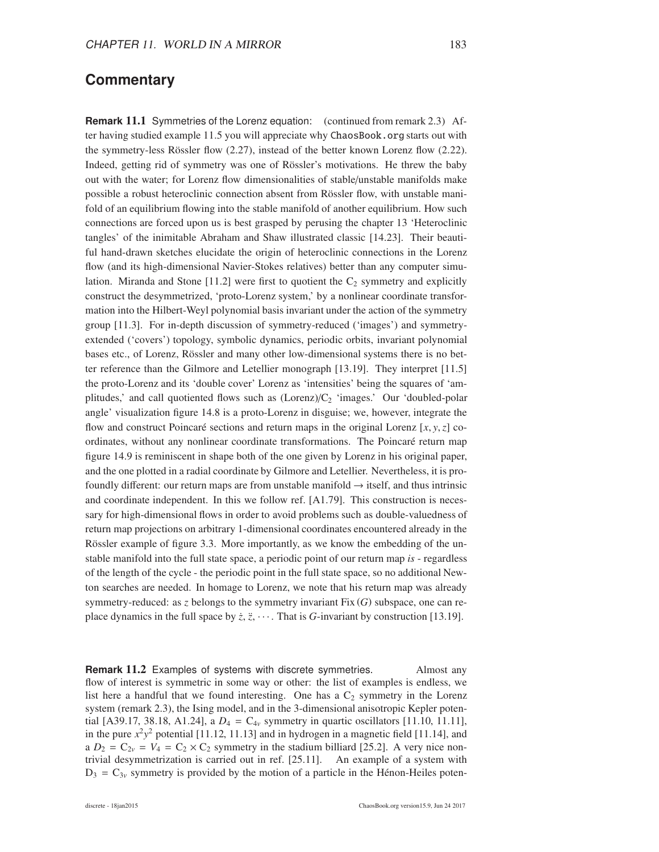#### **Commentary**

**Remark** 11.1 Symmetries of the Lorenz equation: (continued from remark 2.3) After having studied example 11.5 you will appreciate why ChaosBook.org starts out with the symmetry-less Rössler flow  $(2.27)$ , instead of the better known Lorenz flow  $(2.22)$ . Indeed, getting rid of symmetry was one of Rössler's motivations. He threw the baby out with the water; for Lorenz flow dimensionalities of stable/unstable manifolds make possible a robust heteroclinic connection absent from Rössler flow, with unstable manifold of an equilibrium flowing into the stable manifold of another equilibrium. How such connections are forced upon us is best grasped by perusing the chapter 13 'Heteroclinic tangles' of the inimitable Abraham and Shaw illustrated classic [14.23]. Their beautiful hand-drawn sketches elucidate the origin of heteroclinic connections in the Lorenz flow (and its high-dimensional Navier-Stokes relatives) better than any computer simulation. Miranda and Stone [11.2] were first to quotient the  $C_2$  symmetry and explicitly construct the desymmetrized, 'proto-Lorenz system,' by a nonlinear coordinate transformation into the Hilbert-Weyl polynomial basis invariant under the action of the symmetry group [11.3]. For in-depth discussion of symmetry-reduced ('images') and symmetryextended ('covers') topology, symbolic dynamics, periodic orbits, invariant polynomial bases etc., of Lorenz, Rössler and many other low-dimensional systems there is no better reference than the Gilmore and Letellier monograph [13.19]. They interpret [11.5] the proto-Lorenz and its 'double cover' Lorenz as 'intensities' being the squares of 'amplitudes,' and call quotiented flows such as  $(Lorenz)/C<sub>2</sub>$  'images.' Our 'doubled-polar angle' visualization figure 14.8 is a proto-Lorenz in disguise; we, however, integrate the flow and construct Poincaré sections and return maps in the original Lorenz  $[x, y, z]$  coordinates, without any nonlinear coordinate transformations. The Poincaré return map figure 14.9 is reminiscent in shape both of the one given by Lorenz in his original paper, and the one plotted in a radial coordinate by Gilmore and Letellier. Nevertheless, it is profoundly different: our return maps are from unstable manifold  $\rightarrow$  itself, and thus intrinsic and coordinate independent. In this we follow ref. [A1.79]. This construction is necessary for high-dimensional flows in order to avoid problems such as double-valuedness of return map projections on arbitrary 1-dimensional coordinates encountered already in the Rössler example of figure 3.3. More importantly, as we know the embedding of the unstable manifold into the full state space, a periodic point of our return map *is* - regardless of the length of the cycle - the periodic point in the full state space, so no additional Newton searches are needed. In homage to Lorenz, we note that his return map was already symmetry-reduced: as *z* belongs to the symmetry invariant Fix (*G*) subspace, one can replace dynamics in the full space by  $\dot{z}$ ,  $\ddot{z}$ ,  $\cdots$ . That is *G*-invariant by construction [13.19].

**Remark 11.2** Examples of systems with discrete symmetries. Almost any flow of interest is symmetric in some way or other: the list of examples is endless, we list here a handful that we found interesting. One has a  $C_2$  symmetry in the Lorenz system (remark 2.3), the Ising model, and in the 3-dimensional anisotropic Kepler potential [A39.17, 38.18, A1.24], a  $D_4 = C_{4v}$  symmetry in quartic oscillators [11.10, 11.11], in the pure  $x^2y^2$  potential [11.12, 11.13] and in hydrogen in a magnetic field [11.14], and a  $D_2 = C_{2v} = V_4 = C_2 \times C_2$  symmetry in the stadium billiard [25.2]. A very nice nontrivial desymmetrization is carried out in ref. [25.11]. An example of a system with  $D_3 = C_{3\nu}$  symmetry is provided by the motion of a particle in the Hénon-Heiles poten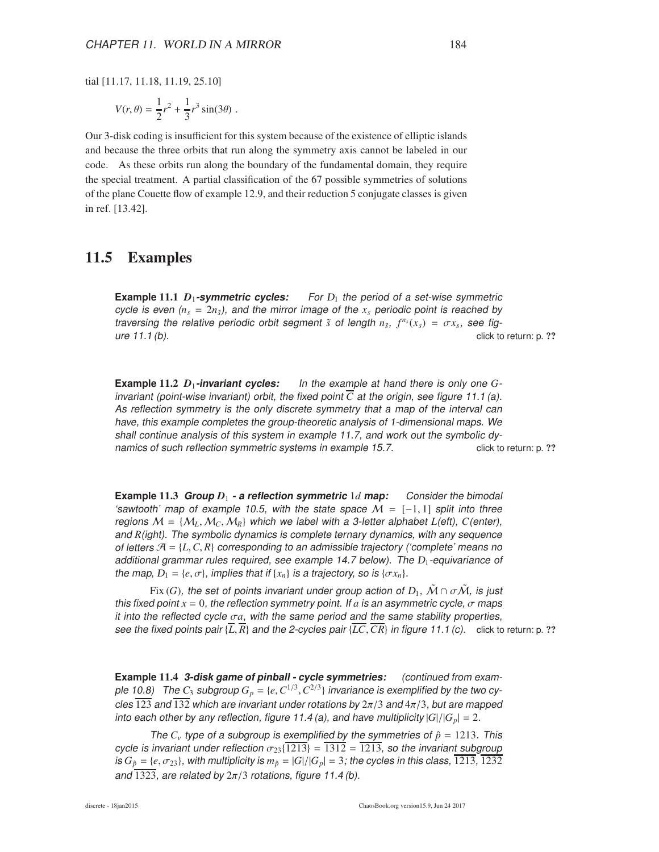tial [11.17, 11.18, 11.19, 25.10]

$$
V(r,\theta) = \frac{1}{2}r^2 + \frac{1}{3}r^3\sin(3\theta) \; .
$$

Our 3-disk coding is insufficient for this system because of the existence of elliptic islands and because the three orbits that run along the symmetry axis cannot be labeled in our code. As these orbits run along the boundary of the fundamental domain, they require the special treatment. A partial classification of the 67 possible symmetries of solutions of the plane Couette flow of example 12.9, and their reduction 5 conjugate classes is given in ref. [13.42].

#### 11.5 Examples

**Example** 11.1  $D_1$ -symmetric cycles: For  $D_1$  the period of a set-wise symmetric cycle is even  $(n_s = 2n_{\bar{s}})$ , and the mirror image of the  $x_s$  periodic point is reached by traversing the relative periodic orbit segment  $\tilde{s}$  of length  $n_{\tilde{s}}, f^{n_{\tilde{s}}}(x_s) = \sigma x_s$ , see figure 11.1 (b). click to return: p. ??

**Example** 11.2  $D_1$ -**invariant cycles:** In the example at hand there is only one  $G$ invariant (point-wise invariant) orbit, the fixed point  $\overline{C}$  at the origin, see figure 11.1 (a). As reflection symmetry is the only discrete symmetry that <sup>a</sup> map of the interval can have, this example completes the group-theoretic analysis of 1-dimensional maps. We shall continue analysis of this system in example 11.7, and work out the symbolic dynamics of such reflection symmetric systems in example 15.7. click to return: p. ??

**Example** 11.3 **Group**  $D_1$  **- a** reflection symmetric 1*d* map: Consider the bimodal 'sawtooth' map of example 10.5, with the state space  $M = [-1,1]$  split into three regions  $M = \{M_L, M_C, M_R\}$  which we label with a 3-letter alphabet *L*(eft), *C*(enter), and *R*(ight). The symbolic dynamics is complete ternary dynamics, with any sequence of letters  $\mathcal{A} = \{L, C, R\}$  corresponding to an admissible trajectory ('complete' means no additional grammar rules required, see example 14.7 below). The  $D_1$ -equivariance of the map,  $D_1 = \{e, \sigma\}$ , implies that if  $\{x_n\}$  is a trajectory, so is  $\{\sigma x_n\}$ .

Fix (*G*), the set of points invariant under group action of  $D_1$ ,  $\tilde{\mathcal{M}} \cap \sigma \tilde{\mathcal{M}}$ , is just this fixed point  $x = 0$ , the reflection symmetry point. If *a* is an asymmetric cycle,  $\sigma$  maps it into the reflected cycle  $\sigma a$ , with the same period and the same stability properties, see the fixed points pair  $\{\overline{L}, \overline{R}\}$  and the 2-cycles pair  $\{\overline{LC}, \overline{CR}\}$  in figure 11.1 (c). click to return: p. ??

**Example** 11.4 **3-disk game of pinball - cycle symmetries:** (continued from example  $10.8$ ) The  $C_3$  subgroup  $G_p = \{e, C^{1/3}, C^{2/3}\}$  invariance is exemplified by the two cycles 123 and 132 which are invariant under rotations by  $2\pi/3$  and  $4\pi/3$ , but are mapped into each other by any reflection, figure 11.4 (a), and have multiplicity  $|G|/|G_p| = 2$ .

The  $C_v$  type of a subgroup is exemplified by the symmetries of  $\hat{p} = 1213$ . This cycle is invariant under reflection  $\sigma_{23}$ {1213} = 1312 = 1213, so the invariant subgroup is  $G_{\hat{p}} = \{e, \sigma_{23}\}\$ , with multiplicity is  $m_{\hat{p}} = |G|/|G_{p}| = 3$ ; the cycles in this class, 1213, 1232 and  $\overline{1323}$ , are related by  $2\pi/3$  rotations, figure 11.4 (b).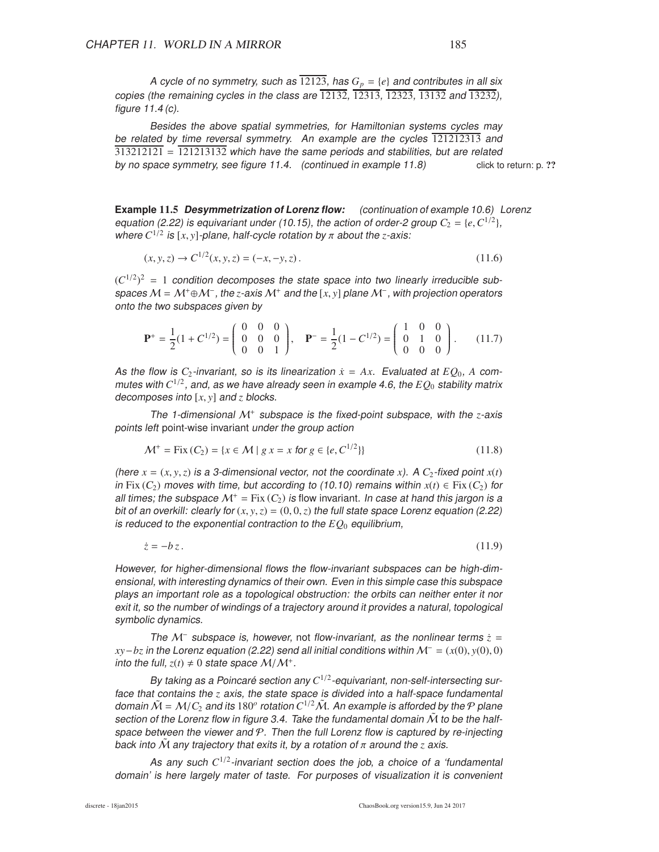A cycle of no symmetry, such as  $\overline{12123}$ , has  $G_p = \{e\}$  and contributes in all six copies (the remaining cycles in the class are  $\overline{12132}$ ,  $\overline{12313}$ ,  $\overline{12323}$ ,  $\overline{13132}$  and  $\overline{13232}$ ), figure 11.4 (c).

Besides the above spatial symmetries, for Hamiltonian systems cycles may be related by time reversal symmetry. An example are the cycles 121212313 and  $313212121 = 121213132$  which have the same periods and stabilities, but are related by no space symmetry, see figure 11.4. (continued in example 11.8) click to return: p. ??

**Example** 11.5 **Desymmetrization of Lorenz flow:** (continuation of example 10.6) Lorenz equation (2.22) is equivariant under (10.15), the action of order-2 group  $C_2 = \{e, C^{1/2}\},\$ where  $C^{1/2}$  is  $[x, y]$ -plane, half-cycle rotation by  $\pi$  about the *z*-axis:

$$
(x, y, z) \to C^{1/2}(x, y, z) = (-x, -y, z). \tag{11.6}
$$

 $(C^{1/2})^2 = 1$  condition decomposes the state space into two linearly irreducible subspaces <sup>M</sup> <sup>=</sup> <sup>M</sup>+⊕M<sup>−</sup> , the *<sup>z</sup>*-axis <sup>M</sup><sup>+</sup> and the [*x*, *<sup>y</sup>*] plane <sup>M</sup><sup>−</sup> , with projection operators onto the two subspaces given by

$$
\mathbf{P}^+ = \frac{1}{2}(1 + C^{1/2}) = \begin{pmatrix} 0 & 0 & 0 \\ 0 & 0 & 0 \\ 0 & 0 & 1 \end{pmatrix}, \quad \mathbf{P}^- = \frac{1}{2}(1 - C^{1/2}) = \begin{pmatrix} 1 & 0 & 0 \\ 0 & 1 & 0 \\ 0 & 0 & 0 \end{pmatrix}.
$$
 (11.7)

As the flow is  $C_2$ -invariant, so is its linearization  $\dot{x} = Ax$ . Evaluated at  $EO_0$ , A commutes with  $C^{1/2}$ , and, as we have already seen in example 4.6, the  $EQ_0$  stability matrix decomposes into [*x*, *y*] and *z* blocks.

The 1-dimensional <sup>M</sup><sup>+</sup> subspace is the fixed-point subspace, with the *z*-axis points left point-wise invariant under the group action

$$
\mathcal{M}^+ = \text{Fix}\,(C_2) = \{x \in \mathcal{M} \mid g \, x = x \text{ for } g \in \{e, C^{1/2}\}\}\tag{11.8}
$$

(here  $x = (x, y, z)$  is a 3-dimensional vector, not the coordinate x). A  $C_2$ -fixed point  $x(t)$ in Fix  $(C_2)$  moves with time, but according to (10.10) remains within  $x(t) \in Fix(C_2)$  for all times; the subspace  $\mathcal{M}^+$  = Fix  $(C_2)$  is flow invariant. In case at hand this jargon is a bit of an overkill: clearly for  $(x, y, z) = (0, 0, z)$  the full state space Lorenz equation (2.22) is reduced to the exponential contraction to the  $EQ<sub>0</sub>$  equilibrium,

*z*<sup>i</sup> = −*bz*. (11.9)

However, for higher-dimensional flows the flow-invariant subspaces can be high-dimensional, with interesting dynamics of their own. Even in this simple case this subspace plays an important role as <sup>a</sup> topological obstruction: the orbits can neither enter it nor exit it, so the number of windings of <sup>a</sup> trajectory around it provides <sup>a</sup> natural, topological symbolic dynamics.

The M<sup>−</sup> subspace is, however, not flow-invariant, as the nonlinear terms  $\dot{z}$  =  $xy-bz$  in the Lorenz equation (2.22) send all initial conditions within  $\mathcal{M}^- = (x(0), y(0), 0)$ into the full,  $z(t) \neq 0$  state space  $\mathcal{M}/\mathcal{M}^+$ .

By taking as a Poincaré section any  $C^{1/2}$ -equivariant, non-self-intersecting surface that contains the *z* axis, the state space is divided into <sup>a</sup> half-space fundamental domain  $\tilde{\cal M}$  =  ${\cal M}/C_2$  and its  $180^o$  rotation  $C^{1/2}\tilde{\cal M}.$  An example is afforded by the  ${\cal P}$  plane section of the Lorenz flow in figure 3.4. Take the fundamental domain  $\tilde{M}$  to be the halfspace between the viewer and  $P$ . Then the full Lorenz flow is captured by re-injecting back into  $\tilde{M}$  any trajectory that exits it, by a rotation of  $\pi$  around the *z* axis.

As any such  $C^{1/2}$ -invariant section does the job, a choice of a 'fundamental domain' is here largely mater of taste. For purposes of visualization it is convenient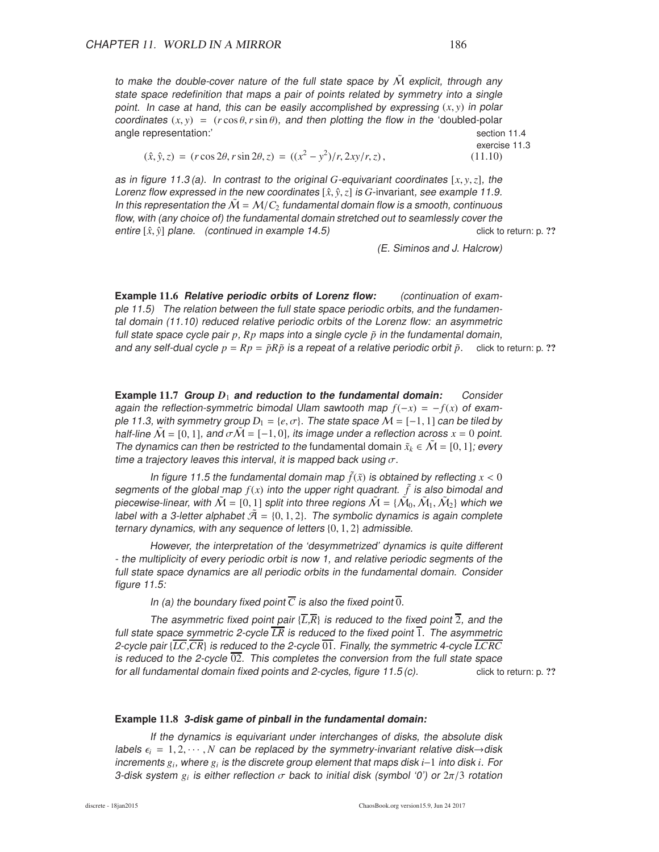to make the double-cover nature of the full state space by  $\tilde{M}$  explicit, through any state space redefinition that maps <sup>a</sup> pair of points related by symmetry into <sup>a</sup> single point. In case at hand, this can be easily accomplished by expressing  $(x, y)$  in polar coordinates  $(x, y) = (r \cos \theta, r \sin \theta)$ , and then plotting the flow in the 'doubled-polar angle representation:' section 11.4

> exercise 11.3 )/*r*, 2*xy*/*r*,*z*) , (11.10)

$$
(\hat{x}, \hat{y}, z) = (r \cos 2\theta, r \sin 2\theta, z) = ((x^2 - y^2)/r, 2xy/r, z),
$$

as in figure 11.3 (a). In contrast to the original *G*-equivariant coordinates [*x*, *y*,*z*], the Lorenz flow expressed in the new coordinates  $[\hat{x}, \hat{y}, z]$  is *G*-invariant, see example 11.9. In this representation the  $\dot{M} = M/C_2$  fundamental domain flow is a smooth, continuous flow, with (any choice of) the fundamental domain stretched out to seamlessly cover the entire  $[\hat{x}, \hat{y}]$  plane. (continued in example 14.5) click to return: p. ??

(E. Siminos and J. Halcrow)

**Example** 11.6 **Relative periodic orbits of Lorenz flow:** (continuation of example 11.5) The relation between the full state space periodic orbits, and the fundamental domain (11.10) reduced relative periodic orbits of the Lorenz flow: an asymmetric full state space cycle pair  $p$ ,  $Rp$  maps into a single cycle  $\tilde{p}$  in the fundamental domain, and any self-dual cycle  $p = Rp = \tilde{p}R\tilde{p}$  is a repeat of a relative periodic orbit  $\tilde{p}$ . click to return: p. ??

**Example** 11.7 **Group**  $D_1$  **and reduction to the fundamental domain:** Consider again the reflection-symmetric bimodal Ulam sawtooth map  $f(-x) = -f(x)$  of example 11.3, with symmetry group  $D_1 = \{e, \sigma\}$ . The state space  $\mathcal{M} = [-1, 1]$  can be tiled by half-line  $\mathcal{M} = [0, 1]$ , and  $\sigma \mathcal{M} = [-1, 0]$ , its image under a reflection across  $x = 0$  point. The dynamics can then be restricted to the fundamental domain  $\tilde{x}_k \in \mathcal{M} = [0, 1]$ ; every time a trajectory leaves this interval, it is mapped back using  $\sigma$ .

In figure 11.5 the fundamental domain map  $\tilde{f}(\tilde{x})$  is obtained by reflecting  $x < 0$ segments of the global map  $f(x)$  into the upper right quadrant.  $\tilde{f}$  is also bimodal and piecewise-linear, with  $\tilde{\mathcal{M}} = [0,1]$  split into three regions  $\tilde{\mathcal{M}} = \{\tilde{\mathcal{M}}_0, \tilde{\mathcal{M}}_1, \tilde{\mathcal{M}}_2\}$  which we label with a 3-letter alphabet  $\tilde{\mathcal{A}} = \{0, 1, 2\}$ . The symbolic dynamics is again complete ternary dynamics, with any sequence of letters  $\{0, 1, 2\}$  admissible.

However, the interpretation of the 'desymmetrized' dynamics is quite different - the multiplicity of every periodic orbit is now 1, and relative periodic segments of the full state space dynamics are all periodic orbits in the fundamental domain. Consider figure 11.5:

In (a) the boundary fixed point  $\overline{C}$  is also the fixed point  $\overline{0}$ .

The asymmetric fixed point pair  $\{L,\overline{R}\}$  is reduced to the fixed point  $\overline{2}$ , and the full state space symmetric 2-cycle  $\overline{LR}$  is reduced to the fixed point  $\overline{1}$ . The asymmetric 2-cycle pair  $\{IC,\overline{CR}\}$  is reduced to the 2-cycle  $\overline{01}$ . Finally, the symmetric 4-cycle  $\overline{LCRC}$ is reduced to the 2-cycle  $\overline{02}$ . This completes the conversion from the full state space for all fundamental domain fixed points and 2-cycles, figure  $11.5$  (c). click to return: p. ??

#### **Example** 11.8 **3-disk game of pinball in the fundamental domain:**

If the dynamics is equivariant under interchanges of disks, the absolute disk labels  $\epsilon_i = 1, 2, \cdots, N$  can be replaced by the symmetry-invariant relative disk $\rightarrow$ disk increments *g<sup>i</sup>* , where *g<sup>i</sup>* is the discrete group element that maps disk *i*−1 into disk *i*. For 3-disk system  $g_i$  is either reflection  $\sigma$  back to initial disk (symbol '0') or 2 $\pi/3$  rotation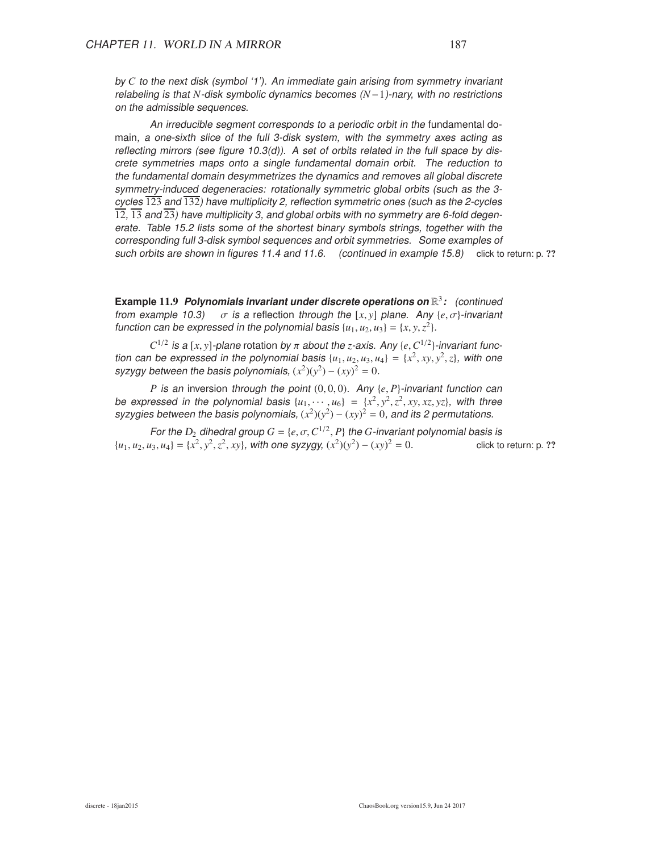by *C* to the next disk (symbol '1'). An immediate gain arising from symmetry invariant relabeling is that *N*-disk symbolic dynamics becomes (*N*−1)-nary, with no restrictions on the admissible sequences.

An irreducible segment corresponds to <sup>a</sup> periodic orbit in the fundamental domain, <sup>a</sup> one-sixth slice of the full 3-disk system, with the symmetry axes acting as reflecting mirrors (see figure 10.3(d)). A set of orbits related in the full space by discrete symmetries maps onto <sup>a</sup> single fundamental domain orbit. The reduction to the fundamental domain desymmetrizes the dynamics and removes all global discrete symmetry-induced degeneracies: rotationally symmetric global orbits (such as the 3 cycles  $\overline{123}$  and  $\overline{132}$ ) have multiplicity 2, reflection symmetric ones (such as the 2-cycles  $\overline{12}$ ,  $\overline{13}$  and  $\overline{23}$ ) have multiplicity 3, and global orbits with no symmetry are 6-fold degenerate. Table 15.2 lists some of the shortest binary symbols strings, together with the corresponding full 3-disk symbol sequences and orbit symmetries. Some examples of such orbits are shown in figures 11.4 and 11.6. (continued in example 15.8) click to return: p. ??

**Example** 11.9 **Polynomials invariant under discrete operations on** R 3 **:** (continued from example 10.3)  $\sigma$  is a reflection through the [x, y] plane. Any {*e*,  $\sigma$ }-invariant function can be expressed in the polynomial basis  $\{u_1, u_2, u_3\} = \{x, y, z^2\}.$ 

*C*<sup>1/2</sup> is a [*x*, *y*]-plane rotation by  $\pi$  about the *z*-axis. Any {*e*, *C*<sup>1/2</sup>}-invariant function can be expressed in the polynomial basis  $\{u_1, u_2, u_3, u_4\} = \{x^2, xy, y^2, z\}$ , with one syzygy between the basis polynomials,  $(x^2)(y^2) - (xy)^2 = 0$ .

*P* is an inversion through the point  $(0, 0, 0)$ . Any {*e*, *P*}-invariant function can be expressed in the polynomial basis  $\{u_1, \dots, u_6\} = \{x^2, y^2, z^2, xy, xz, yz\}$ , with three syzygies between the basis polynomials,  $(x^2)(y^2) - (xy)^2 = 0$ , and its 2 permutations.

For the  $D_2$  dihedral group  $G = \{e, \sigma, C^{1/2}, P\}$  the  $G$ -invariant polynomial basis is  ${u_1, u_2, u_3, u_4} = {x^2, y^2, z^2, xy}$ , with one syzygy,  ${(x^2)(y^2) - (xy)}$ click to return: p. ??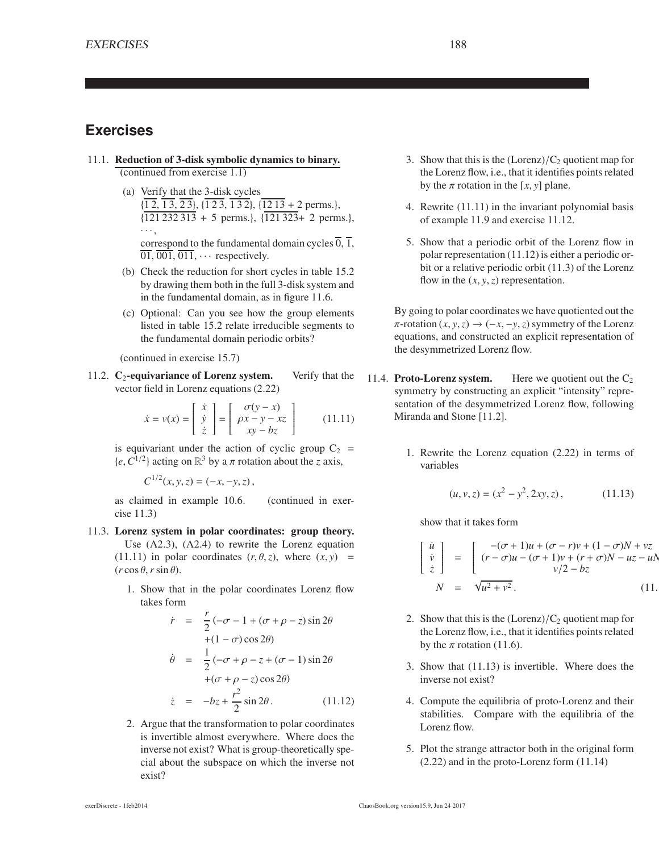### **Exercises**

- 11.1. Reduction of 3-disk symbolic dynamics to binary. (continued from exercise 1.1)
	- (a) Verify that the 3-disk cycles  $\{1\overline{2},\overline{13},\overline{23}\},\{\overline{123},\overline{132}\},\{\overline{1213}+2 \text{ perms.}\}\$  $\{121\,232\,313 + 5 \text{ perms.}\}, \{121\,323 + 2 \text{ perms.}\},\$ · · · , correspond to the fundamental domain cycles  $\overline{0}$ ,  $\overline{1}$ ,  $\overline{01}$ ,  $\overline{001}$ ,  $\overline{011}$ ,  $\cdots$  respectively.
	- (b) Check the reduction for short cycles in table 15.2 by drawing them both in the full 3-disk system and in the fundamental domain, as in figure 11.6.
	- (c) Optional: Can you see how the group elements listed in table 15.2 relate irreducible segments to the fundamental domain periodic orbits?

(continued in exercise 15.7)

11.2.  $C_2$ -equivariance of Lorenz system. Verify that the vector field in Lorenz equations (2.22)

$$
\dot{x} = v(x) = \begin{bmatrix} \dot{x} \\ \dot{y} \\ \dot{z} \end{bmatrix} = \begin{bmatrix} \sigma(y - x) \\ \rho x - y - xz \\ xy - bz \end{bmatrix}
$$
 (11.11)

is equivariant under the action of cyclic group  $C_2$  =  $\{e, C^{1/2}\}\$ acting on  $\mathbb{R}^3$  by a  $\pi$  rotation about the *z* axis,

$$
C^{1/2}(x, y, z) = (-x, -y, z),
$$

as claimed in example 10.6. (continued in exercise 11.3)

- 11.3. Lorenz system in polar coordinates: group theory. Use (A2.3), (A2.4) to rewrite the Lorenz equation (11.11) in polar coordinates  $(r, \theta, z)$ , where  $(x, y)$  =  $(r \cos \theta, r \sin \theta)$ .
	- 1. Show that in the polar coordinates Lorenz flow takes form

$$
\dot{r} = \frac{r}{2}(-\sigma - 1 + (\sigma + \rho - z)\sin 2\theta
$$
  
+ (1 - \sigma)\cos 2\theta)  

$$
\dot{\theta} = \frac{1}{2}(-\sigma + \rho - z + (\sigma - 1)\sin 2\theta
$$
  
+ (\sigma + \rho - z)\cos 2\theta)  

$$
\dot{z} = -bz + \frac{r^2}{2}\sin 2\theta.
$$
 (11.12)

2. Argue that the transformation to polar coordinates is invertible almost everywhere. Where does the inverse not exist? What is group-theoretically special about the subspace on which the inverse not exist?

- 3. Show that this is the  $(Lorenz)/C_2$  quotient map for the Lorenz flow, i.e., that it identifies points related by the  $\pi$  rotation in the [x, y] plane.
- 4. Rewrite (11.11) in the invariant polynomial basis of example 11.9 and exercise 11.12.
- 5. Show that a periodic orbit of the Lorenz flow in polar representation (11.12) is either a periodic orbit or a relative periodic orbit (11.3) of the Lorenz flow in the  $(x, y, z)$  representation.

By going to polar coordinates we have quotiented out the  $\pi$ -rotation  $(x, y, z) \rightarrow (-x, -y, z)$  symmetry of the Lorenz equations, and constructed an explicit representation of the desymmetrized Lorenz flow.

- 11.4. Proto-Lorenz system. Here we quotient out the  $C_2$ symmetry by constructing an explicit "intensity" representation of the desymmetrized Lorenz flow, following Miranda and Stone [11.2].
	- 1. Rewrite the Lorenz equation (2.22) in terms of variables

$$
(u, v, z) = (x2 - y2, 2xy, z),
$$
 (11.13)

show that it takes form

$$
\begin{bmatrix}\n\dot{u} \\
\dot{v} \\
\dot{z}\n\end{bmatrix} = \begin{bmatrix}\n-(\sigma + 1)u + (\sigma - r)v + (1 - \sigma)N + vz \\
(r - \sigma)u - (\sigma + 1)v + (r + \sigma)N - uz - uN \\
v/2 - bz\n\end{bmatrix}
$$
\n(11.

- 2. Show that this is the  $(Lorenz)/C_2$  quotient map for the Lorenz flow, i.e., that it identifies points related by the  $\pi$  rotation (11.6).
- 3. Show that (11.13) is invertible. Where does the inverse not exist?
- 4. Compute the equilibria of proto-Lorenz and their stabilities. Compare with the equilibria of the Lorenz flow.
- 5. Plot the strange attractor both in the original form (2.22) and in the proto-Lorenz form (11.14)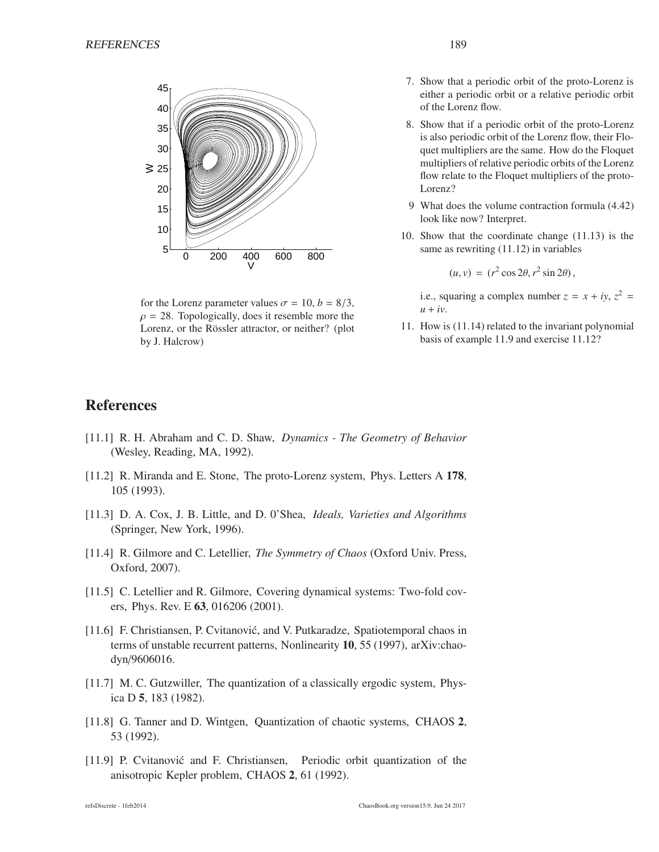

for the Lorenz parameter values  $\sigma = 10$ ,  $b = 8/3$ ,  $\rho = 28$ . Topologically, does it resemble more the Lorenz, or the Rössler attractor, or neither? (plot by J. Halcrow)

- 7. Show that a periodic orbit of the proto-Lorenz is either a periodic orbit or a relative periodic orbit of the Lorenz flow.
- 8. Show that if a periodic orbit of the proto-Lorenz is also periodic orbit of the Lorenz flow, their Floquet multipliers are the same. How do the Floquet multipliers of relative periodic orbits of the Lorenz flow relate to the Floquet multipliers of the proto-Lorenz?
- 9 What does the volume contraction formula (4.42) look like now? Interpret.
- 10. Show that the coordinate change (11.13) is the same as rewriting (11.12) in variables

$$
(u, v) = (r^2 \cos 2\theta, r^2 \sin 2\theta),
$$

i.e., squaring a complex number  $z = x + iy$ ,  $z^2 =$  $u + iv$ .

11. How is (11.14) related to the invariant polynomial basis of example 11.9 and exercise 11.12?

#### **References**

- [11.1] R. H. Abraham and C. D. Shaw, *Dynamics The Geometry of Behavior* (Wesley, Reading, MA, 1992).
- [11.2] R. Miranda and E. Stone, The proto-Lorenz system, Phys. Letters A 178, 105 (1993).
- [11.3] D. A. Cox, J. B. Little, and D. 0'Shea, *Ideals, Varieties and Algorithms* (Springer, New York, 1996).
- [11.4] R. Gilmore and C. Letellier, *The Symmetry of Chaos* (Oxford Univ. Press, Oxford, 2007).
- [11.5] C. Letellier and R. Gilmore, Covering dynamical systems: Two-fold covers, Phys. Rev. E 63, 016206 (2001).
- [11.6] F. Christiansen, P. Cvitanović, and V. Putkaradze, Spatiotemporal chaos in terms of unstable recurrent patterns, Nonlinearity 10, 55 (1997), arXiv:chaodyn/9606016.
- [11.7] M. C. Gutzwiller, The quantization of a classically ergodic system, Physica D 5, 183 (1982).
- [11.8] G. Tanner and D. Wintgen, Quantization of chaotic systems, CHAOS 2, 53 (1992).
- [11.9] P. Cvitanović and F. Christiansen, Periodic orbit quantization of the anisotropic Kepler problem, CHAOS 2, 61 (1992).